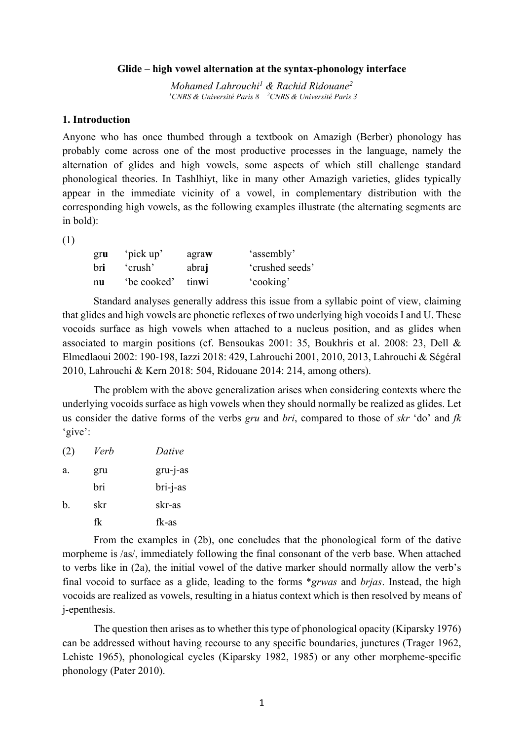#### **Glide – high vowel alternation at the syntax-phonology interface**

*Mohamed Lahrouchi1 & Rachid Ridouane2 1 CNRS & Université Paris 8 2 CNRS & Université Paris 3*

#### **1. Introduction**

Anyone who has once thumbed through a textbook on Amazigh (Berber) phonology has probably come across one of the most productive processes in the language, namely the alternation of glides and high vowels, some aspects of which still challenge standard phonological theories. In Tashlhiyt, like in many other Amazigh varieties, glides typically appear in the immediate vicinity of a vowel, in complementary distribution with the corresponding high vowels, as the following examples illustrate (the alternating segments are in bold):

(1)

| gru | 'pick up'   | agraw | 'assembly'      |
|-----|-------------|-------|-----------------|
| bri | 'crush'     | abraj | 'crushed seeds' |
| nu  | 'be cooked' | tinwi | 'cooking'       |

Standard analyses generally address this issue from a syllabic point of view, claiming that glides and high vowels are phonetic reflexes of two underlying high vocoids I and U. These vocoids surface as high vowels when attached to a nucleus position, and as glides when associated to margin positions (cf. Bensoukas 2001: 35, Boukhris et al. 2008: 23, Dell & Elmedlaoui 2002: 190-198, Iazzi 2018: 429, Lahrouchi 2001, 2010, 2013, Lahrouchi & Ségéral 2010, Lahrouchi & Kern 2018: 504, Ridouane 2014: 214, among others).

The problem with the above generalization arises when considering contexts where the underlying vocoids surface as high vowels when they should normally be realized as glides. Let us consider the dative forms of the verbs *gru* and *bri*, compared to those of *skr* 'do' and *fk* 'give':

(2) *Verb Dative* a. gru gru-j-as bri bri-j-as b. skr skr-as fk fk-as

From the examples in (2b), one concludes that the phonological form of the dative morpheme is /as/, immediately following the final consonant of the verb base. When attached to verbs like in (2a), the initial vowel of the dative marker should normally allow the verb's final vocoid to surface as a glide, leading to the forms \**grwas* and *brjas*. Instead, the high vocoids are realized as vowels, resulting in a hiatus context which is then resolved by means of j-epenthesis.

The question then arises as to whether this type of phonological opacity (Kiparsky 1976) can be addressed without having recourse to any specific boundaries, junctures (Trager 1962, Lehiste 1965), phonological cycles (Kiparsky 1982, 1985) or any other morpheme-specific phonology (Pater 2010).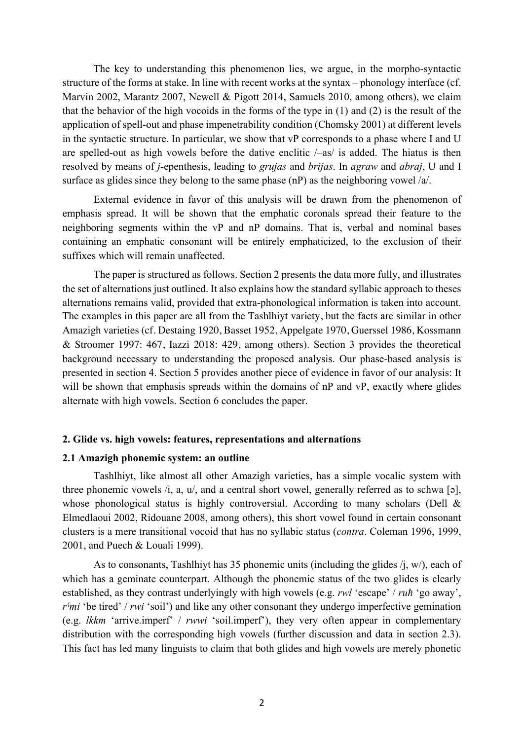The key to understanding this phenomenon lies, we argue, in the morpho-syntactic structure of the forms at stake. In line with recent works at the syntax – phonology interface (cf. Marvin 2002, Marantz 2007, Newell & Pigott 2014, Samuels 2010, among others), we claim that the behavior of the high vocoids in the forms of the type in (1) and (2) is the result of the application of spell-out and phase impenetrability condition (Chomsky 2001) at different levels in the syntactic structure. In particular, we show that vP corresponds to a phase where I and U are spelled-out as high vowels before the dative enclitic  $/-\text{as}/\text{is}$  added. The hiatus is then resolved by means of *j*-epenthesis, leading to *grujas* and *brijas*. In *agraw* and *abraj*, U and I surface as glides since they belong to the same phase (nP) as the neighboring vowel /a/.

External evidence in favor of this analysis will be drawn from the phenomenon of emphasis spread. It will be shown that the emphatic coronals spread their feature to the neighboring segments within the vP and nP domains. That is, verbal and nominal bases containing an emphatic consonant will be entirely emphaticized, to the exclusion of their suffixes which will remain unaffected.

The paper is structured as follows. Section 2 presents the data more fully, and illustrates the set of alternations just outlined. It also explains how the standard syllabic approach to theses alternations remains valid, provided that extra-phonological information is taken into account. The examples in this paper are all from the Tashlhiyt variety, but the facts are similar in other Amazigh varieties (cf. Destaing 1920, Basset 1952, Appelgate 1970, Guerssel 1986, Kossmann & Stroomer 1997: 467, Iazzi 2018: 429, among others). Section 3 provides the theoretical background necessary to understanding the proposed analysis. Our phase-based analysis is presented in section 4. Section 5 provides another piece of evidence in favor of our analysis: It will be shown that emphasis spreads within the domains of nP and vP, exactly where glides alternate with high vowels. Section 6 concludes the paper.

#### **2. Glide vs. high vowels: features, representations and alternations**

### **2.1 Amazigh phonemic system: an outline**

Tashlhiyt, like almost all other Amazigh varieties, has a simple vocalic system with three phonemic vowels /i, a, u/, and a central short vowel, generally referred as to schwa [ə], whose phonological status is highly controversial. According to many scholars (Dell & Elmedlaoui 2002, Ridouane 2008, among others), this short vowel found in certain consonant clusters is a mere transitional vocoid that has no syllabic status (*contra*. Coleman 1996, 1999, 2001, and Puech & Louali 1999).

As to consonants, Tashlhiyt has 35 phonemic units (including the glides  $(i, w)$ , each of which has a geminate counterpart. Although the phonemic status of the two glides is clearly established, as they contrast underlyingly with high vowels (e.g. *rwl* 'escape' / *ruħ* 'go away', *rˤmi* 'be tired' / *rwi* 'soil') and like any other consonant they undergo imperfective gemination (e.g. *lkkm* 'arrive.imperf' / *rwwi* 'soil.imperf'), they very often appear in complementary distribution with the corresponding high vowels (further discussion and data in section 2.3). This fact has led many linguists to claim that both glides and high vowels are merely phonetic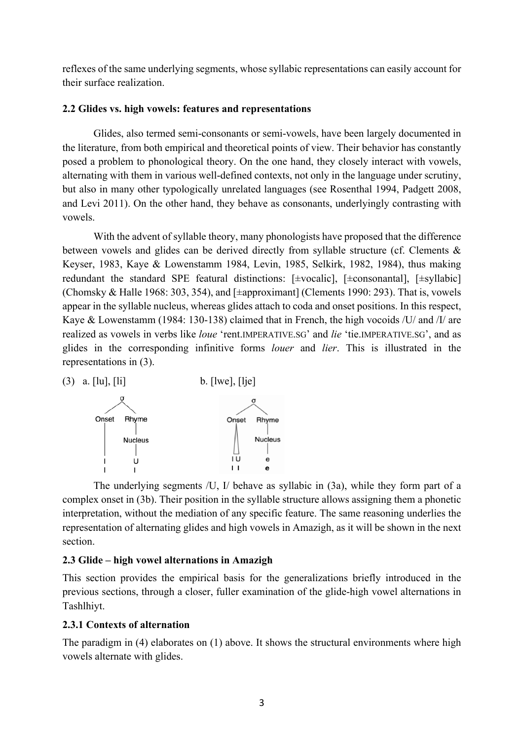reflexes of the same underlying segments, whose syllabic representations can easily account for their surface realization.

## **2.2 Glides vs. high vowels: features and representations**

Glides, also termed semi-consonants or semi-vowels, have been largely documented in the literature, from both empirical and theoretical points of view. Their behavior has constantly posed a problem to phonological theory. On the one hand, they closely interact with vowels, alternating with them in various well-defined contexts, not only in the language under scrutiny, but also in many other typologically unrelated languages (see Rosenthal 1994, Padgett 2008, and Levi 2011). On the other hand, they behave as consonants, underlyingly contrasting with vowels.

With the advent of syllable theory, many phonologists have proposed that the difference between vowels and glides can be derived directly from syllable structure (cf. Clements & Keyser, 1983, Kaye & Lowenstamm 1984, Levin, 1985, Selkirk, 1982, 1984), thus making redundant the standard SPE featural distinctions: [±vocalic], [±consonantal], [±syllabic] (Chomsky & Halle 1968: 303, 354), and [±approximant] (Clements 1990: 293). That is, vowels appear in the syllable nucleus, whereas glides attach to coda and onset positions. In this respect, Kaye & Lowenstamm (1984: 130-138) claimed that in French, the high vocoids /U/ and /I/ are realized as vowels in verbs like *loue* 'rent.IMPERATIVE.SG' and *lie* 'tie.IMPERATIVE.SG', and as glides in the corresponding infinitive forms *louer* and *lier*. This is illustrated in the representations in (3).



The underlying segments /U, I/ behave as syllabic in (3a), while they form part of a complex onset in (3b). Their position in the syllable structure allows assigning them a phonetic interpretation, without the mediation of any specific feature. The same reasoning underlies the representation of alternating glides and high vowels in Amazigh, as it will be shown in the next section.

## **2.3 Glide – high vowel alternations in Amazigh**

This section provides the empirical basis for the generalizations briefly introduced in the previous sections, through a closer, fuller examination of the glide-high vowel alternations in Tashlhiyt.

## **2.3.1 Contexts of alternation**

The paradigm in (4) elaborates on (1) above. It shows the structural environments where high vowels alternate with glides.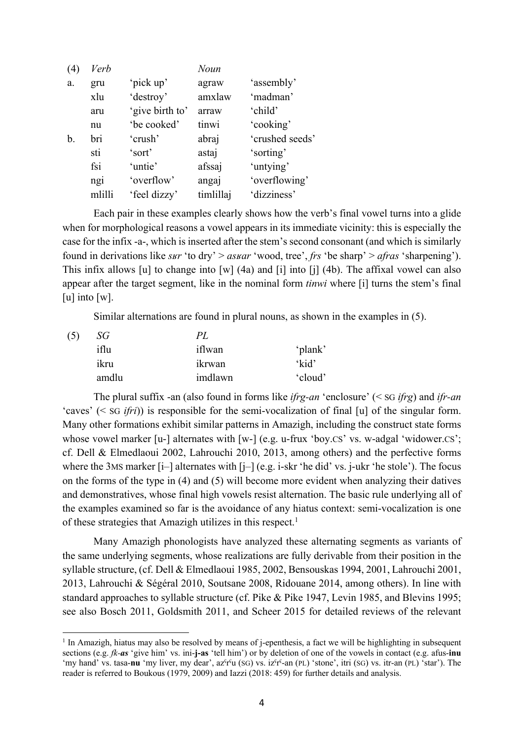| (4)            | Verb   |                 | Noun      |                 |
|----------------|--------|-----------------|-----------|-----------------|
| a.             | gru    | 'pick up'       | agraw     | 'assembly'      |
|                | xlu    | 'destroy'       | amxlaw    | 'madman'        |
|                | aru    | 'give birth to' | arraw     | 'child'         |
|                | nu     | 'be cooked'     | tinwi     | 'cooking'       |
| $\mathbf{b}$ . | bri    | 'crush'         | abraj     | 'crushed seeds' |
|                | sti    | 'sort'          | astaj     | 'sorting'       |
|                | fsi    | 'untie'         | afssaj    | 'untying'       |
|                | ngi    | 'overflow'      | angaj     | 'overflowing'   |
|                | mlilli | 'feel dizzy'    | timlillaj | 'dizziness'     |

Each pair in these examples clearly shows how the verb's final vowel turns into a glide when for morphological reasons a vowel appears in its immediate vicinity: this is especially the case for the infix -a-, which is inserted after the stem's second consonant (and which is similarly found in derivations like *sʁr* 'to dry' > *asʁar* 'wood, tree', *frs* 'be sharp' > *afras* 'sharpening'). This infix allows [u] to change into [w] (4a) and [i] into [j] (4b). The affixal vowel can also appear after the target segment, like in the nominal form *tinwi* where [i] turns the stem's final [u] into  $[w]$ .

Similar alternations are found in plural nouns, as shown in the examples in (5).

| (5) | SG    | PL.     |         |  |  |
|-----|-------|---------|---------|--|--|
|     | iflu  | iflwan  | 'plank' |  |  |
|     | ikru  | ikrwan  | 'kid'   |  |  |
|     | amdlu | imdlawn | 'cloud' |  |  |

The plural suffix -an (also found in forms like *ifrg-an* 'enclosure' (< SG *ifrg*) and *ifr-an* 'caves' (< SG *ifri*)) is responsible for the semi-vocalization of final [u] of the singular form. Many other formations exhibit similar patterns in Amazigh, including the construct state forms whose vowel marker [u-] alternates with [w-] (e.g. u-frux 'boy.CS' vs. w-adgal 'widower.CS'; cf. Dell & Elmedlaoui 2002, Lahrouchi 2010, 2013, among others) and the perfective forms where the 3MS marker [i–] alternates with [j–] (e.g. i-skr 'he did' vs. j-ukr 'he stole'). The focus on the forms of the type in (4) and (5) will become more evident when analyzing their datives and demonstratives, whose final high vowels resist alternation. The basic rule underlying all of the examples examined so far is the avoidance of any hiatus context: semi-vocalization is one of these strategies that Amazigh utilizes in this respect.<sup>1</sup>

Many Amazigh phonologists have analyzed these alternating segments as variants of the same underlying segments, whose realizations are fully derivable from their position in the syllable structure, (cf. Dell & Elmedlaoui 1985, 2002, Bensouskas 1994, 2001, Lahrouchi 2001, 2013, Lahrouchi & Ségéral 2010, Soutsane 2008, Ridouane 2014, among others). In line with standard approaches to syllable structure (cf. Pike & Pike 1947, Levin 1985, and Blevins 1995; see also Bosch 2011, Goldsmith 2011, and Scheer 2015 for detailed reviews of the relevant

 $<sup>1</sup>$  In Amazigh, hiatus may also be resolved by means of j-epenthesis, a fact we will be highlighting in subsequent</sup> sections (e.g. *fk-as* 'give him' vs. ini-**j-as** 'tell him') or by deletion of one of the vowels in contact (e.g. afus-**inu** 'my hand' vs. tasa-**nu** 'my liver, my dear', azˤrˤu (SG) vs. izˤrˤ-an (PL) 'stone', itri (SG) vs. itr-an (PL) 'star'). The reader is referred to Boukous (1979, 2009) and Iazzi (2018: 459) for further details and analysis.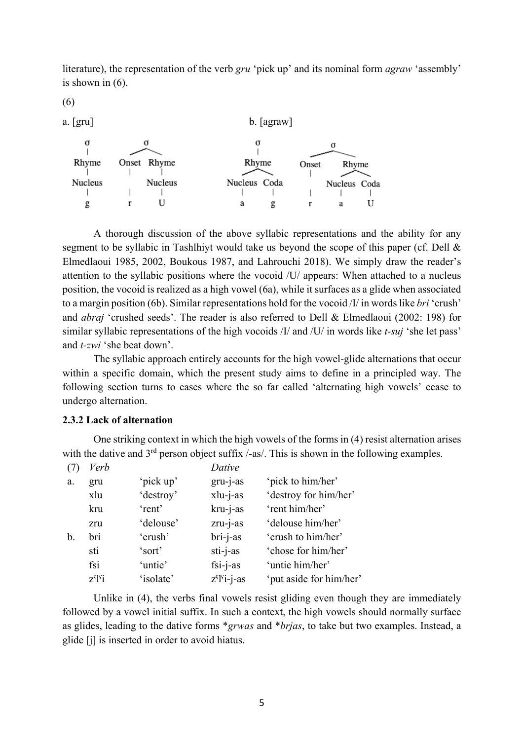literature), the representation of the verb *gru* 'pick up' and its nominal form *agraw* 'assembly' is shown in (6).

(6)



A thorough discussion of the above syllabic representations and the ability for any segment to be syllabic in Tashlhiyt would take us beyond the scope of this paper (cf. Dell & Elmedlaoui 1985, 2002, Boukous 1987, and Lahrouchi 2018). We simply draw the reader's attention to the syllabic positions where the vocoid /U/ appears: When attached to a nucleus position, the vocoid is realized as a high vowel (6a), while it surfaces as a glide when associated to a margin position (6b). Similar representations hold for the vocoid /I/ in words like *bri* 'crush' and *abraj* 'crushed seeds'. The reader is also referred to Dell & Elmedlaoui (2002: 198) for similar syllabic representations of the high vocoids /I/ and /U/ in words like *t-suj* 'she let pass' and *t-zwi* 'she beat down'.

The syllabic approach entirely accounts for the high vowel-glide alternations that occur within a specific domain, which the present study aims to define in a principled way. The following section turns to cases where the so far called 'alternating high vowels' cease to undergo alternation.

### **2.3.2 Lack of alternation**

One striking context in which the high vowels of the forms in (4) resist alternation arises with the dative and  $3<sup>rd</sup>$  person object suffix  $/-\text{as}/\text{.}$  This is shown in the following examples.

|    | Verb                   |           | Dative          |                         |
|----|------------------------|-----------|-----------------|-------------------------|
| a. | gru                    | 'pick up' | $gru-i-as$      | 'pick to him/her'       |
|    | xlu                    | 'destroy' | xlu-j-as        | 'destroy for him/her'   |
|    | kru                    | 'rent'    | kru-j-as        | 'rent him/her'          |
|    | zru                    | 'delouse' | zru-j-as        | 'delouse him/her'       |
| b. | bri                    | 'crush'   | bri-j-as        | 'crush to him/her'      |
|    | sti                    | 'sort'    | sti-j-as        | 'chose for him/her'     |
|    | fsi                    | 'untie'   | $fsi-i-as$      | 'untie him/her'         |
|    | $z^{s}$ <sup>s</sup> i | 'isolate' | $z^{f}[f]-i-as$ | 'put aside for him/her' |

Unlike in (4), the verbs final vowels resist gliding even though they are immediately followed by a vowel initial suffix. In such a context, the high vowels should normally surface as glides, leading to the dative forms \**grwas* and \**brjas*, to take but two examples. Instead, a glide [j] is inserted in order to avoid hiatus.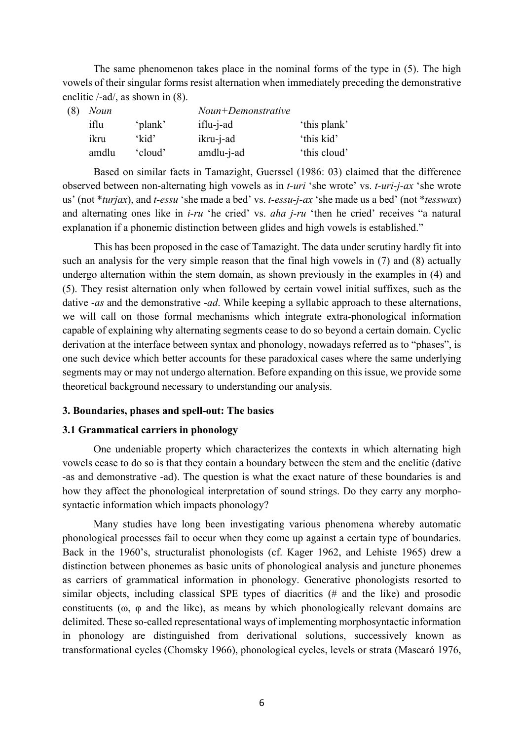The same phenomenon takes place in the nominal forms of the type in (5). The high vowels of their singular forms resist alternation when immediately preceding the demonstrative enclitic /-ad/, as shown in (8).

| (8) | <b>Noun</b> |         | $Noun+Denonstrative$ |              |
|-----|-------------|---------|----------------------|--------------|
|     | iflu        | 'plank' | $iflu-i-ad$          | 'this plank' |
|     | ikru        | 'kid'   | ikru-j-ad            | 'this kid'   |
|     | amdlu       | 'cloud' | amdlu-j-ad           | 'this cloud' |

Based on similar facts in Tamazight, Guerssel (1986: 03) claimed that the difference observed between non-alternating high vowels as in *t-uri* 'she wrote' vs. *t-uri-j-ax* 'she wrote us' (not \**turjax*), and *t-essu* 'she made a bed' vs. *t-essu-j-ax* 'she made us a bed' (not \**tesswax*) and alternating ones like in *i-ru* 'he cried' vs. *aha j-ru* 'then he cried' receives "a natural explanation if a phonemic distinction between glides and high vowels is established."

This has been proposed in the case of Tamazight. The data under scrutiny hardly fit into such an analysis for the very simple reason that the final high vowels in (7) and (8) actually undergo alternation within the stem domain, as shown previously in the examples in (4) and (5). They resist alternation only when followed by certain vowel initial suffixes, such as the dative -*as* and the demonstrative -*ad*. While keeping a syllabic approach to these alternations, we will call on those formal mechanisms which integrate extra-phonological information capable of explaining why alternating segments cease to do so beyond a certain domain. Cyclic derivation at the interface between syntax and phonology, nowadays referred as to "phases", is one such device which better accounts for these paradoxical cases where the same underlying segments may or may not undergo alternation. Before expanding on this issue, we provide some theoretical background necessary to understanding our analysis.

#### **3. Boundaries, phases and spell-out: The basics**

#### **3.1 Grammatical carriers in phonology**

One undeniable property which characterizes the contexts in which alternating high vowels cease to do so is that they contain a boundary between the stem and the enclitic (dative -as and demonstrative -ad). The question is what the exact nature of these boundaries is and how they affect the phonological interpretation of sound strings. Do they carry any morphosyntactic information which impacts phonology?

Many studies have long been investigating various phenomena whereby automatic phonological processes fail to occur when they come up against a certain type of boundaries. Back in the 1960's, structuralist phonologists (cf. Kager 1962, and Lehiste 1965) drew a distinction between phonemes as basic units of phonological analysis and juncture phonemes as carriers of grammatical information in phonology. Generative phonologists resorted to similar objects, including classical SPE types of diacritics (# and the like) and prosodic constituents (ω, φ and the like), as means by which phonologically relevant domains are delimited. These so-called representational ways of implementing morphosyntactic information in phonology are distinguished from derivational solutions, successively known as transformational cycles (Chomsky 1966), phonological cycles, levels or strata (Mascaró 1976,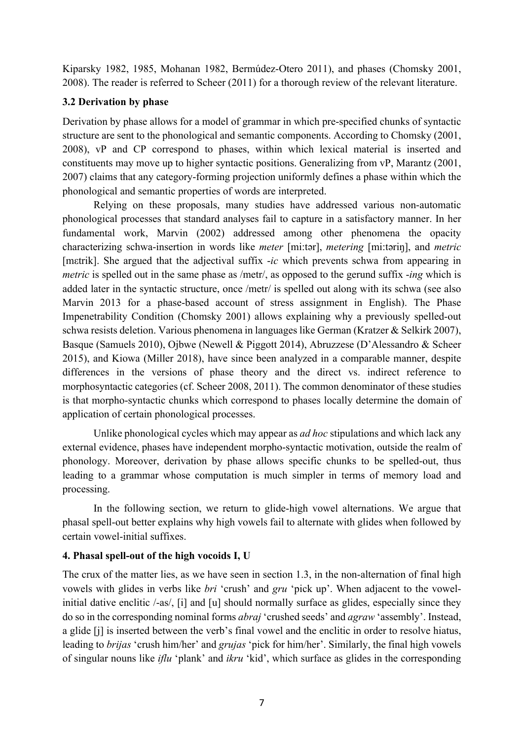Kiparsky 1982, 1985, Mohanan 1982, Bermúdez-Otero 2011), and phases (Chomsky 2001, 2008). The reader is referred to Scheer (2011) for a thorough review of the relevant literature.

## **3.2 Derivation by phase**

Derivation by phase allows for a model of grammar in which pre-specified chunks of syntactic structure are sent to the phonological and semantic components. According to Chomsky (2001, 2008), vP and CP correspond to phases, within which lexical material is inserted and constituents may move up to higher syntactic positions. Generalizing from vP, Marantz (2001, 2007) claims that any category-forming projection uniformly defines a phase within which the phonological and semantic properties of words are interpreted.

Relying on these proposals, many studies have addressed various non-automatic phonological processes that standard analyses fail to capture in a satisfactory manner. In her fundamental work, Marvin (2002) addressed among other phenomena the opacity characterizing schwa-insertion in words like *meter* [mi:tər], *metering* [mi:təriŋ], and *metric*  [mεtrik]. She argued that the adjectival suffix -*ic* which prevents schwa from appearing in *metric* is spelled out in the same phase as /metr/, as opposed to the gerund suffix -*ing* which is added later in the syntactic structure, once /metr/ is spelled out along with its schwa (see also Marvin 2013 for a phase-based account of stress assignment in English). The Phase Impenetrability Condition (Chomsky 2001) allows explaining why a previously spelled-out schwa resists deletion. Various phenomena in languages like German (Kratzer & Selkirk 2007), Basque (Samuels 2010), Ojbwe (Newell & Piggott 2014), Abruzzese (D'Alessandro & Scheer 2015), and Kiowa (Miller 2018), have since been analyzed in a comparable manner, despite differences in the versions of phase theory and the direct vs. indirect reference to morphosyntactic categories (cf. Scheer 2008, 2011). The common denominator of these studies is that morpho-syntactic chunks which correspond to phases locally determine the domain of application of certain phonological processes.

Unlike phonological cycles which may appear as *ad hoc* stipulations and which lack any external evidence, phases have independent morpho-syntactic motivation, outside the realm of phonology. Moreover, derivation by phase allows specific chunks to be spelled-out, thus leading to a grammar whose computation is much simpler in terms of memory load and processing.

In the following section, we return to glide-high vowel alternations. We argue that phasal spell-out better explains why high vowels fail to alternate with glides when followed by certain vowel-initial suffixes.

# **4. Phasal spell-out of the high vocoids I, U**

The crux of the matter lies, as we have seen in section 1.3, in the non-alternation of final high vowels with glides in verbs like *bri* 'crush' and *gru* 'pick up'. When adjacent to the vowelinitial dative enclitic /-as/, [i] and [u] should normally surface as glides, especially since they do so in the corresponding nominal forms *abraj* 'crushed seeds' and *agraw* 'assembly'. Instead, a glide [j] is inserted between the verb's final vowel and the enclitic in order to resolve hiatus, leading to *brijas* 'crush him/her' and *grujas* 'pick for him/her'. Similarly, the final high vowels of singular nouns like *iflu* 'plank' and *ikru* 'kid', which surface as glides in the corresponding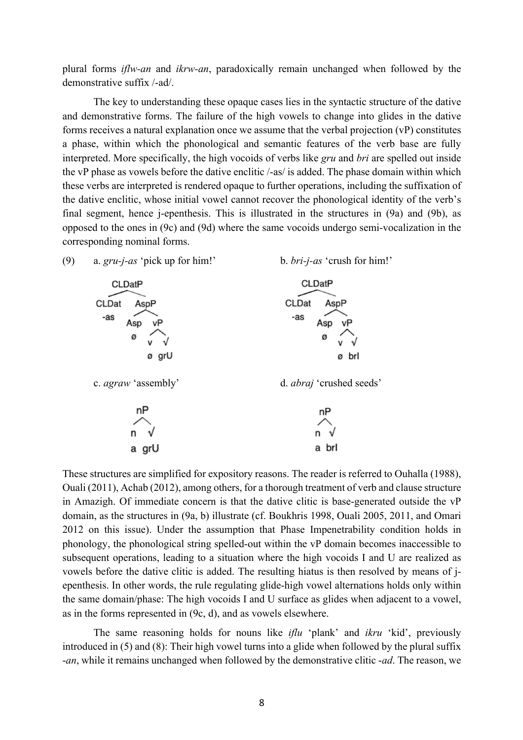plural forms *iflw-an* and *ikrw-an*, paradoxically remain unchanged when followed by the demonstrative suffix /-ad/.

The key to understanding these opaque cases lies in the syntactic structure of the dative and demonstrative forms. The failure of the high vowels to change into glides in the dative forms receives a natural explanation once we assume that the verbal projection (vP) constitutes a phase, within which the phonological and semantic features of the verb base are fully interpreted. More specifically, the high vocoids of verbs like *gru* and *bri* are spelled out inside the vP phase as vowels before the dative enclitic /-as/ is added. The phase domain within which these verbs are interpreted is rendered opaque to further operations, including the suffixation of the dative enclitic, whose initial vowel cannot recover the phonological identity of the verb's final segment, hence j-epenthesis. This is illustrated in the structures in (9a) and (9b), as opposed to the ones in (9c) and (9d) where the same vocoids undergo semi-vocalization in the corresponding nominal forms.



These structures are simplified for expository reasons. The reader is referred to Ouhalla (1988), Ouali (2011), Achab (2012), among others, for a thorough treatment of verb and clause structure in Amazigh. Of immediate concern is that the dative clitic is base-generated outside the vP domain, as the structures in (9a, b) illustrate (cf. Boukhris 1998, Ouali 2005, 2011, and Omari 2012 on this issue). Under the assumption that Phase Impenetrability condition holds in phonology, the phonological string spelled-out within the vP domain becomes inaccessible to subsequent operations, leading to a situation where the high vocoids I and U are realized as vowels before the dative clitic is added. The resulting hiatus is then resolved by means of jepenthesis. In other words, the rule regulating glide-high vowel alternations holds only within the same domain/phase: The high vocoids I and U surface as glides when adjacent to a vowel, as in the forms represented in (9c, d), and as vowels elsewhere.

The same reasoning holds for nouns like *iflu* 'plank' and *ikru* 'kid', previously introduced in (5) and (8): Their high vowel turns into a glide when followed by the plural suffix -*an*, while it remains unchanged when followed by the demonstrative clitic -*ad*. The reason, we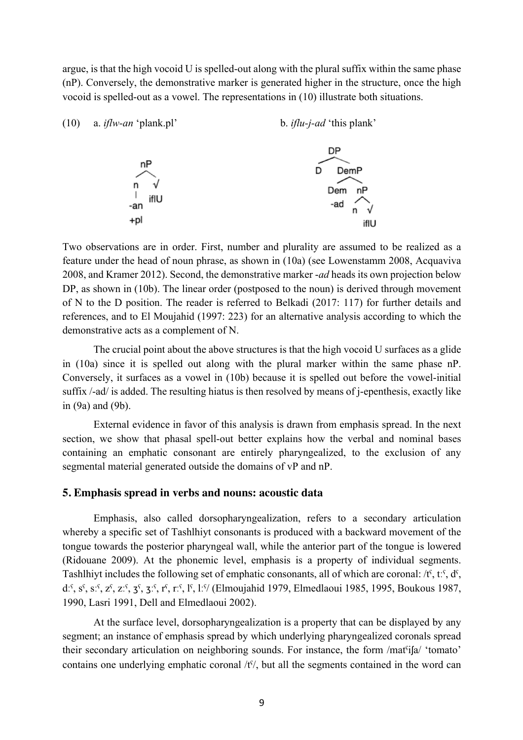argue, is that the high vocoid U is spelled-out along with the plural suffix within the same phase (nP). Conversely, the demonstrative marker is generated higher in the structure, once the high vocoid is spelled-out as a vowel. The representations in (10) illustrate both situations.



Two observations are in order. First, number and plurality are assumed to be realized as a feature under the head of noun phrase, as shown in (10a) (see Lowenstamm 2008, Acquaviva 2008, and Kramer 2012). Second, the demonstrative marker -*ad* heads its own projection below DP, as shown in (10b). The linear order (postposed to the noun) is derived through movement of N to the D position. The reader is referred to Belkadi (2017: 117) for further details and references, and to El Moujahid (1997: 223) for an alternative analysis according to which the demonstrative acts as a complement of N.

The crucial point about the above structures is that the high vocoid U surfaces as a glide in (10a) since it is spelled out along with the plural marker within the same phase nP. Conversely, it surfaces as a vowel in (10b) because it is spelled out before the vowel-initial suffix /-ad/ is added. The resulting hiatus is then resolved by means of j-epenthesis, exactly like in (9a) and (9b).

External evidence in favor of this analysis is drawn from emphasis spread. In the next section, we show that phasal spell-out better explains how the verbal and nominal bases containing an emphatic consonant are entirely pharyngealized, to the exclusion of any segmental material generated outside the domains of vP and nP.

#### **5. Emphasis spread in verbs and nouns: acoustic data**

Emphasis, also called dorsopharyngealization, refers to a secondary articulation whereby a specific set of Tashlhiyt consonants is produced with a backward movement of the tongue towards the posterior pharyngeal wall, while the anterior part of the tongue is lowered (Ridouane 2009). At the phonemic level, emphasis is a property of individual segments. Tashlhiyt includes the following set of emphatic consonants, all of which are coronal: /tˁ, tːˁ, dˁ, dːˁ, sˁ, sːˁ, zˁ, zːˁ, ʒˁ, ʒːˁ, rˁ, rːˁ, lˁ, lːˁ/ (Elmoujahid 1979, Elmedlaoui 1985, 1995, Boukous 1987, 1990, Lasri 1991, Dell and Elmedlaoui 2002).

At the surface level, dorsopharyngealization is a property that can be displayed by any segment; an instance of emphasis spread by which underlying pharyngealized coronals spread their secondary articulation on neighboring sounds. For instance, the form /mat<sup>c</sup>ila/ 'tomato' contains one underlying emphatic coronal /t<sup>o</sup>/, but all the segments contained in the word can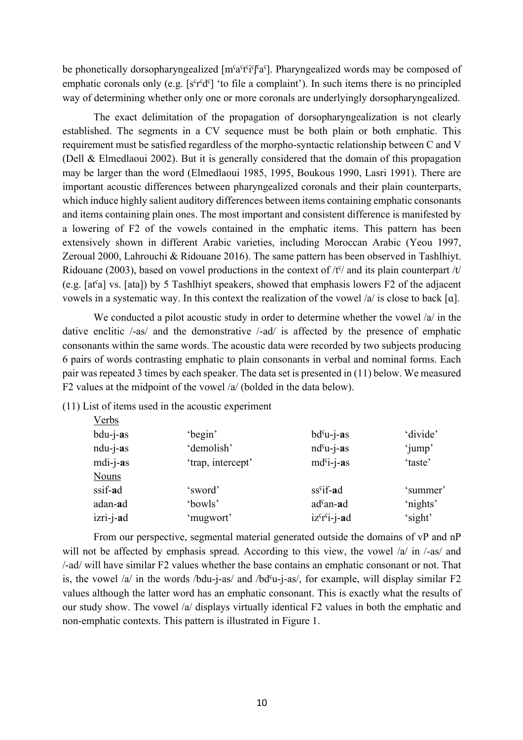be phonetically dorsopharyngealized [mˤaˤtˤiˤʃˤaˤ]. Pharyngealized words may be composed of emphatic coronals only (e.g. [s<sup>s</sup>r<sup>s</sup>d<sup>s</sup>] 'to file a complaint'). In such items there is no principled way of determining whether only one or more coronals are underlyingly dorsopharyngealized.

The exact delimitation of the propagation of dorsopharyngealization is not clearly established. The segments in a CV sequence must be both plain or both emphatic. This requirement must be satisfied regardless of the morpho-syntactic relationship between C and V (Dell & Elmedlaoui 2002). But it is generally considered that the domain of this propagation may be larger than the word (Elmedlaoui 1985, 1995, Boukous 1990, Lasri 1991). There are important acoustic differences between pharyngealized coronals and their plain counterparts, which induce highly salient auditory differences between items containing emphatic consonants and items containing plain ones. The most important and consistent difference is manifested by a lowering of F2 of the vowels contained in the emphatic items. This pattern has been extensively shown in different Arabic varieties, including Moroccan Arabic (Yeou 1997, Zeroual 2000, Lahrouchi & Ridouane 2016). The same pattern has been observed in Tashlhiyt. Ridouane (2003), based on vowel productions in the context of  $/t\hat{y}$  and its plain counterpart  $/t\hat{y}$ (e.g. [atˁa] vs. [ata]) by 5 Tashlhiyt speakers, showed that emphasis lowers F2 of the adjacent vowels in a systematic way. In this context the realization of the vowel /a/ is close to back [ɑ].

We conducted a pilot acoustic study in order to determine whether the vowel /a/ in the dative enclitic /-as/ and the demonstrative /-ad/ is affected by the presence of emphatic consonants within the same words. The acoustic data were recorded by two subjects producing 6 pairs of words contrasting emphatic to plain consonants in verbal and nominal forms. Each pair was repeated 3 times by each speaker. The data set is presented in (11) below. We measured F2 values at the midpoint of the vowel /a/ (bolded in the data below).

(11) List of items used in the acoustic experiment

| 'begin'           | $bd^{\rm s}u$ -j-as   | 'divide' |
|-------------------|-----------------------|----------|
| 'demolish'        | $nd^cu-j-as$          | 'jump'   |
| 'trap, intercept' | $mdsi-i-as$           | 'taste'  |
|                   |                       |          |
| 'sword'           | $ss^{cf}$ -ad         | 'summer' |
| 'bowls'           | ad <sup>s</sup> an-ad | 'nights' |
| 'mugwort'         | $izs rsi-j-ad$        | 'sight'  |
|                   |                       |          |

From our perspective, segmental material generated outside the domains of vP and nP will not be affected by emphasis spread. According to this view, the vowel /a/ in /-as/ and /-ad/ will have similar F2 values whether the base contains an emphatic consonant or not. That is, the vowel  $\alpha$  in the words /bdu-j-as/ and /bd<sup>s</sup>u-j-as/, for example, will display similar F2 values although the latter word has an emphatic consonant. This is exactly what the results of our study show. The vowel /a/ displays virtually identical F2 values in both the emphatic and non-emphatic contexts. This pattern is illustrated in Figure 1.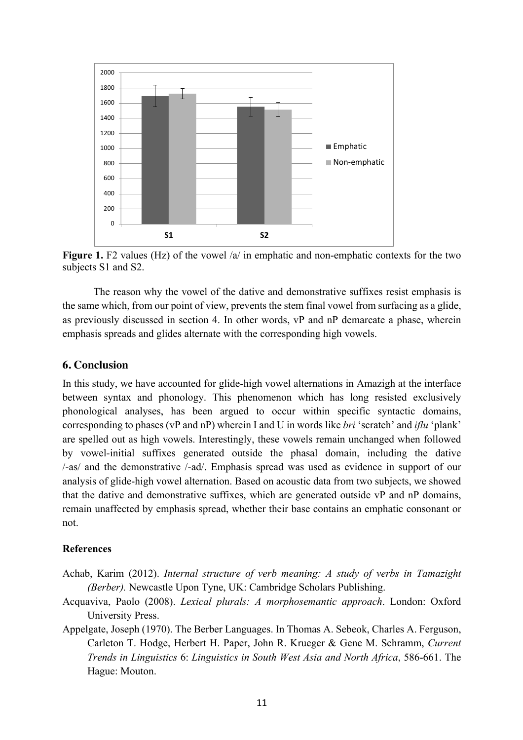

**Figure 1.** F2 values (Hz) of the vowel /a/ in emphatic and non-emphatic contexts for the two subjects S1 and S2.

The reason why the vowel of the dative and demonstrative suffixes resist emphasis is the same which, from our point of view, prevents the stem final vowel from surfacing as a glide, as previously discussed in section 4. In other words, vP and nP demarcate a phase, wherein emphasis spreads and glides alternate with the corresponding high vowels.

### **6. Conclusion**

In this study, we have accounted for glide-high vowel alternations in Amazigh at the interface between syntax and phonology. This phenomenon which has long resisted exclusively phonological analyses, has been argued to occur within specific syntactic domains, corresponding to phases (vP and nP) wherein I and U in words like *bri* 'scratch' and *iflu* 'plank' are spelled out as high vowels. Interestingly, these vowels remain unchanged when followed by vowel-initial suffixes generated outside the phasal domain, including the dative /-as/ and the demonstrative /-ad/. Emphasis spread was used as evidence in support of our analysis of glide-high vowel alternation. Based on acoustic data from two subjects, we showed that the dative and demonstrative suffixes, which are generated outside vP and nP domains, remain unaffected by emphasis spread, whether their base contains an emphatic consonant or not.

#### **References**

- Achab, Karim (2012). *Internal structure of verb meaning: A study of verbs in Tamazight (Berber).* Newcastle Upon Tyne, UK: Cambridge Scholars Publishing.
- Acquaviva, Paolo (2008). *Lexical plurals: A morphosemantic approach*. London: Oxford University Press.
- Appelgate, Joseph (1970). The Berber Languages. In Thomas A. Sebeok, Charles A. Ferguson, Carleton T. Hodge, Herbert H. Paper, John R. Krueger & Gene M. Schramm, *Current Trends in Linguistics* 6: *Linguistics in South West Asia and North Africa*, 586-661. The Hague: Mouton.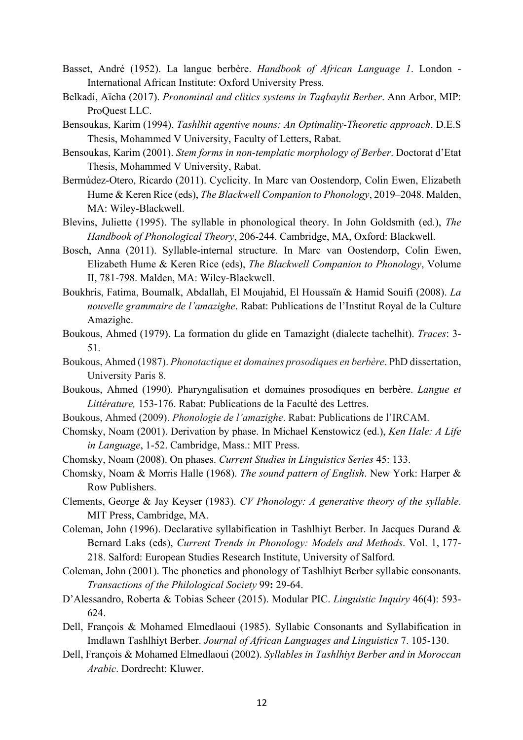- Basset, André (1952). La langue berbère. *Handbook of African Language 1*. London International African Institute: Oxford University Press.
- Belkadi, Aïcha (2017). *Pronominal and clitics systems in Taqbaylit Berber*. Ann Arbor, MIP: ProQuest LLC.
- Bensoukas, Karim (1994). *Tashlhit agentive nouns: An Optimality-Theoretic approach*. D.E.S Thesis, Mohammed V University, Faculty of Letters, Rabat.
- Bensoukas, Karim (2001). *Stem forms in non-templatic morphology of Berber*. Doctorat d'Etat Thesis, Mohammed V University, Rabat.
- Bermúdez-Otero, Ricardo (2011). Cyclicity. In Marc van Oostendorp, Colin Ewen, Elizabeth Hume & Keren Rice (eds), *The Blackwell Companion to Phonology*, 2019–2048. Malden, MA: Wiley-Blackwell.
- Blevins, Juliette (1995). The syllable in phonological theory. In John Goldsmith (ed.), *The Handbook of Phonological Theory*, 206-244. Cambridge, MA, Oxford: Blackwell.
- Bosch, Anna (2011). Syllable-internal structure. In Marc van Oostendorp, Colin Ewen, Elizabeth Hume & Keren Rice (eds), *The Blackwell Companion to Phonology*, Volume II, 781-798. Malden, MA: Wiley-Blackwell.
- Boukhris, Fatima, Boumalk, Abdallah, El Moujahid, El Houssaïn & Hamid Souifi (2008). *La nouvelle grammaire de l'amazighe*. Rabat: Publications de l'Institut Royal de la Culture Amazighe.
- Boukous, Ahmed (1979). La formation du glide en Tamazight (dialecte tachelhit). *Traces*: 3- 51.
- Boukous, Ahmed (1987). *Phonotactique et domaines prosodiques en berbère*. PhD dissertation, University Paris 8.
- Boukous, Ahmed (1990). Pharyngalisation et domaines prosodiques en berbère. *Langue et Littérature,* 153-176. Rabat: Publications de la Faculté des Lettres.
- Boukous, Ahmed (2009). *Phonologie de l'amazighe*. Rabat: Publications de l'IRCAM.
- Chomsky, Noam (2001). Derivation by phase. In Michael Kenstowicz (ed.), *Ken Hale: A Life in Language*, 1-52. Cambridge, Mass.: MIT Press.
- Chomsky, Noam (2008). On phases. *Current Studies in Linguistics Series* 45: 133.
- Chomsky, Noam & Morris Halle (1968). *The sound pattern of English*. New York: Harper & Row Publishers.
- Clements, George & Jay Keyser (1983). *CV Phonology: A generative theory of the syllable*. MIT Press, Cambridge, MA.
- Coleman, John (1996). Declarative syllabification in Tashlhiyt Berber. In Jacques Durand & Bernard Laks (eds), *Current Trends in Phonology: Models and Methods*. Vol. 1, 177- 218. Salford: European Studies Research Institute, University of Salford.
- Coleman, John (2001). The phonetics and phonology of Tashlhiyt Berber syllabic consonants. *Transactions of the Philological Society* 99**:** 29-64.
- D'Alessandro, Roberta & Tobias Scheer (2015). Modular PIC. *Linguistic Inquiry* 46(4): 593- 624.
- Dell, François & Mohamed Elmedlaoui (1985). Syllabic Consonants and Syllabification in Imdlawn Tashlhiyt Berber. *Journal of African Languages and Linguistics* 7. 105-130.
- Dell, François & Mohamed Elmedlaoui (2002). *Syllables in Tashlhiyt Berber and in Moroccan Arabic*. Dordrecht: Kluwer.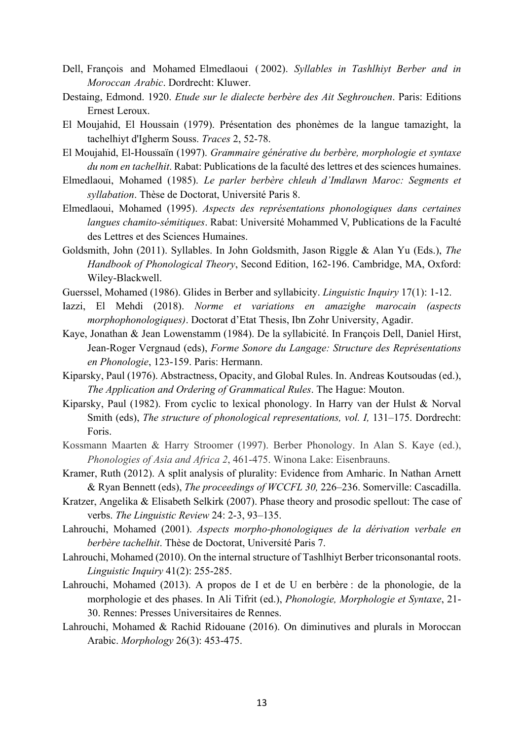- Dell, François and Mohamed Elmedlaoui ( 2002). *Syllables in Tashlhiyt Berber and in Moroccan Arabic*. Dordrecht: Kluwer.
- Destaing, Edmond. 1920. *Etude sur le dialecte berbère des Ait Seghrouchen*. Paris: Editions Ernest Leroux.
- El Moujahid, El Houssain (1979). Présentation des phonèmes de la langue tamazight, la tachelhiyt d'Igherm Souss. *Traces* 2, 52-78.
- El Moujahid, El-Houssaïn (1997). *Grammaire générative du berbère, morphologie et syntaxe du nom en tachelhit*. Rabat: Publications de la faculté des lettres et des sciences humaines.
- Elmedlaoui, Mohamed (1985). *Le parler berbère chleuh d'Imdlawn Maroc: Segments et syllabation*. Thèse de Doctorat, Université Paris 8.
- Elmedlaoui, Mohamed (1995). *Aspects des représentations phonologiques dans certaines langues chamito-sémitiques*. Rabat: Université Mohammed V, Publications de la Faculté des Lettres et des Sciences Humaines.
- Goldsmith, John (2011). Syllables. In John Goldsmith, Jason Riggle & Alan Yu (Eds.), *The Handbook of Phonological Theory*, Second Edition, 162-196. Cambridge, MA, Oxford: Wiley-Blackwell.
- Guerssel, Mohamed (1986). Glides in Berber and syllabicity. *Linguistic Inquiry* 17(1): 1-12.
- Iazzi, El Mehdi (2018). *Norme et variations en amazighe marocain (aspects morphophonologiques)*. Doctorat d'Etat Thesis, Ibn Zohr University, Agadir.
- Kaye, Jonathan & Jean Lowenstamm (1984). De la syllabicité. In François Dell, Daniel Hirst, Jean-Roger Vergnaud (eds), *Forme Sonore du Langage: Structure des Représentations en Phonologie*, 123-159. Paris: Hermann.
- Kiparsky, Paul (1976). Abstractness, Opacity, and Global Rules. In. Andreas Koutsoudas (ed.), *The Application and Ordering of Grammatical Rules*. The Hague: Mouton.
- Kiparsky, Paul (1982). From cyclic to lexical phonology. In Harry van der Hulst & Norval Smith (eds), *The structure of phonological representations, vol. I,* 131–175. Dordrecht: Foris.
- Kossmann Maarten & Harry Stroomer (1997). Berber Phonology. In Alan S. Kaye (ed.), *Phonologies of Asia and Africa 2*, 461-475. Winona Lake: Eisenbrauns.
- Kramer, Ruth (2012). A split analysis of plurality: Evidence from Amharic. In Nathan Arnett & Ryan Bennett (eds), *The proceedings of WCCFL 30,* 226–236. Somerville: Cascadilla.
- Kratzer, Angelika & Elisabeth Selkirk (2007). Phase theory and prosodic spellout: The case of verbs. *The Linguistic Review* 24: 2-3, 93–135.
- Lahrouchi, Mohamed (2001). *Aspects morpho-phonologiques de la dérivation verbale en berbère tachelhit*. Thèse de Doctorat, Université Paris 7.
- Lahrouchi, Mohamed (2010). On the internal structure of Tashlhiyt Berber triconsonantal roots. *Linguistic Inquiry* 41(2): 255-285.
- Lahrouchi, Mohamed (2013). A propos de I et de U en berbère : de la phonologie, de la morphologie et des phases. In Ali Tifrit (ed.), *Phonologie, Morphologie et Syntaxe*, 21- 30. Rennes: Presses Universitaires de Rennes.
- Lahrouchi, Mohamed & Rachid Ridouane (2016). On diminutives and plurals in Moroccan Arabic. *Morphology* 26(3): 453-475.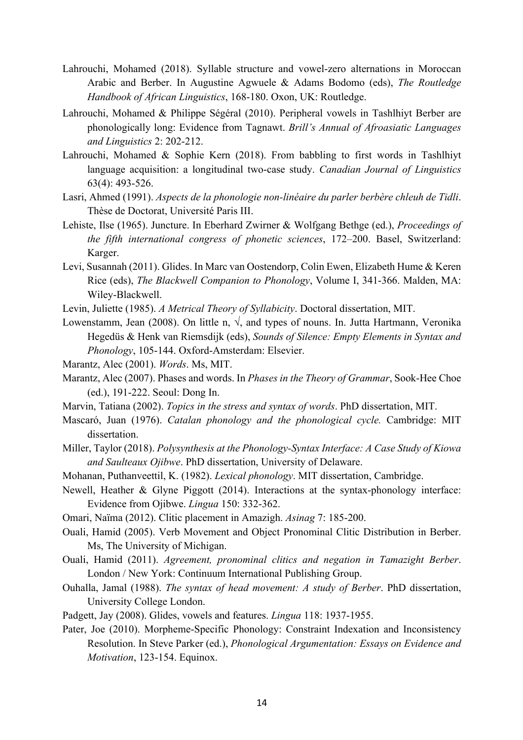- Lahrouchi, Mohamed (2018). Syllable structure and vowel-zero alternations in Moroccan Arabic and Berber. In Augustine Agwuele & Adams Bodomo (eds), *The Routledge Handbook of African Linguistics*, 168-180. Oxon, UK: Routledge.
- Lahrouchi, Mohamed & Philippe Ségéral (2010). Peripheral vowels in Tashlhiyt Berber are phonologically long: Evidence from Tagnawt. *Brill's Annual of Afroasiatic Languages and Linguistics* 2: 202-212.
- Lahrouchi, Mohamed & Sophie Kern (2018). From babbling to first words in Tashlhiyt language acquisition: a longitudinal two-case study. *Canadian Journal of Linguistics* 63(4): 493-526.
- Lasri, Ahmed (1991). *Aspects de la phonologie non-linéaire du parler berbère chleuh de Tidli*. Thèse de Doctorat, Université Paris III.
- Lehiste, Ilse (1965). Juncture. In Eberhard Zwirner & Wolfgang Bethge (ed.), *Proceedings of the fifth international congress of phonetic sciences*, 172–200. Basel, Switzerland: Karger.
- Levi, Susannah (2011). Glides. In Marc van Oostendorp, Colin Ewen, Elizabeth Hume & Keren Rice (eds), *The Blackwell Companion to Phonology*, Volume I, 341-366. Malden, MA: Wiley-Blackwell.
- Levin, Juliette (1985). *A Metrical Theory of Syllabicity*. Doctoral dissertation, MIT.
- Lowenstamm, Jean (2008). On little n,  $\sqrt{2}$ , and types of nouns. In. Jutta Hartmann, Veronika Hegedüs & Henk van Riemsdijk (eds), *Sounds of Silence: Empty Elements in Syntax and Phonology*, 105-144. Oxford-Amsterdam: Elsevier.
- Marantz, Alec (2001). *Words*. Ms, MIT.
- Marantz, Alec (2007). Phases and words. In *Phases in the Theory of Grammar*, Sook-Hee Choe (ed.), 191-222. Seoul: Dong In.
- Marvin, Tatiana (2002). *Topics in the stress and syntax of words*. PhD dissertation, MIT.
- Mascaró, Juan (1976). *Catalan phonology and the phonological cycle.* Cambridge: MIT dissertation.
- Miller, Taylor (2018). *Polysynthesis at the Phonology-Syntax Interface: A Case Study of Kiowa and Saulteaux Ojibwe*. PhD dissertation, University of Delaware.
- Mohanan, Puthanveettil, K. (1982). *Lexical phonology*. MIT dissertation, Cambridge.
- Newell, Heather & Glyne Piggott (2014). Interactions at the syntax-phonology interface: Evidence from Ojibwe. *Lingua* 150: 332-362.
- Omari, Naïma (2012). Clitic placement in Amazigh. *Asinag* 7: 185-200.
- Ouali, Hamid (2005). Verb Movement and Object Pronominal Clitic Distribution in Berber. Ms, The University of Michigan.
- Ouali, Hamid (2011). *Agreement, pronominal clitics and negation in Tamazight Berber*. London / New York: Continuum International Publishing Group.
- Ouhalla, Jamal (1988). *The syntax of head movement: A study of Berber*. PhD dissertation, University College London.
- Padgett, Jay (2008). Glides, vowels and features. *Lingua* 118: 1937-1955.
- Pater, Joe (2010). Morpheme-Specific Phonology: Constraint Indexation and Inconsistency Resolution. In Steve Parker (ed.), *Phonological Argumentation: Essays on Evidence and Motivation*, 123-154. Equinox.